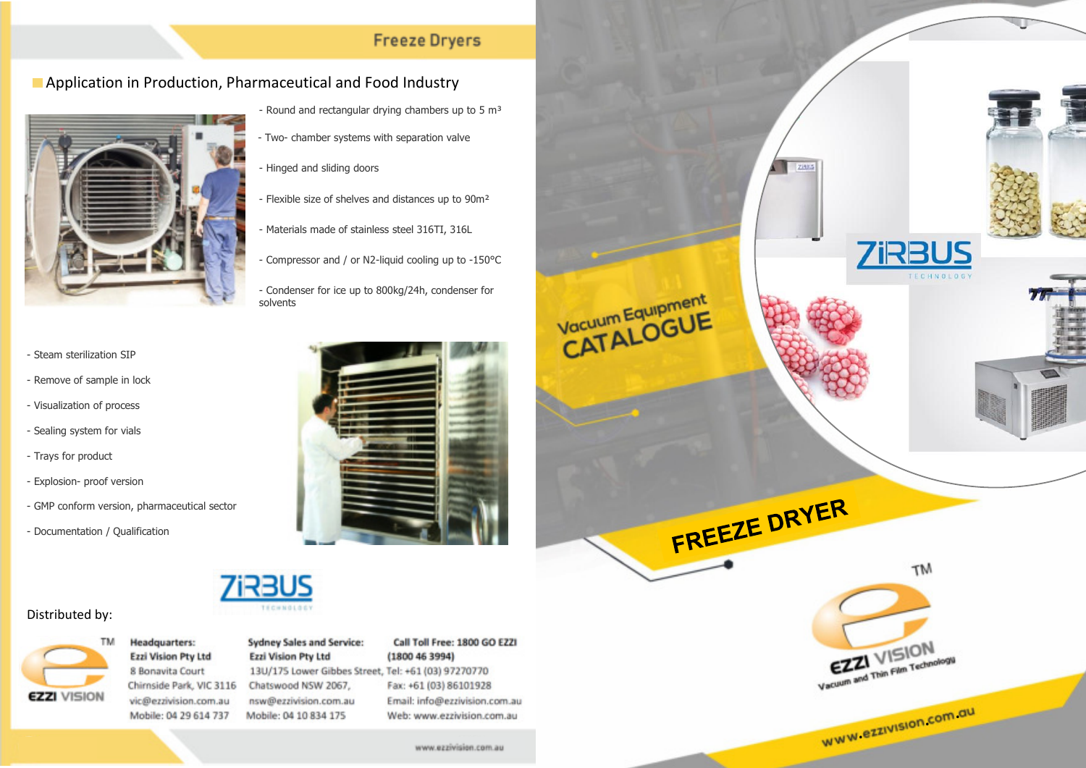## **Freeze Dryers**

## **E** Application in Production, Pharmaceutical and Food Industry



- Materials made of stainless steel 316TI, 316L
	- Compressor and / or N2-liquid cooling up to -150°C

- Flexible size of shelves and distances up to 90m²

- Round and rectangular drying chambers up to  $5 \text{ m}^3$ 

• - Two- chamber systems with separation valve

- Hinged and sliding doors

- Condenser for ice up to 800kg/24h, condenser for solvents

- - Steam sterilization SIP
- - Remove of sample in lock
- - Visualization of process
- - Sealing system for vials
- - Trays for product
- - Explosion- proof version
- - GMP conform version, pharmaceutical sector
- - Documentation / Qualification





## Distributed by:



**Headquarters:** Ezzi Vision Pty Ltd 8 Bonavita Court Chirnside Park, VIC 3116 vic@ezzivision.com.au Mobile: 04 29 614 737

### Sydney Sales and Service: Ezzi Vision Pty Ltd

13U/175 Lower Gibbes Street, Tel: +61 (03) 97270770 Chatswood NSW 2067. nsw@ezzivision.com.au Mobile: 04 10 834 175

### Call Toll Free: 1800 GO EZZI  $(1800 46 3994)$

Fax: +61 (03) 86101928 Email: info@ezzivision.com.au Web: www.ezzivision.com.au